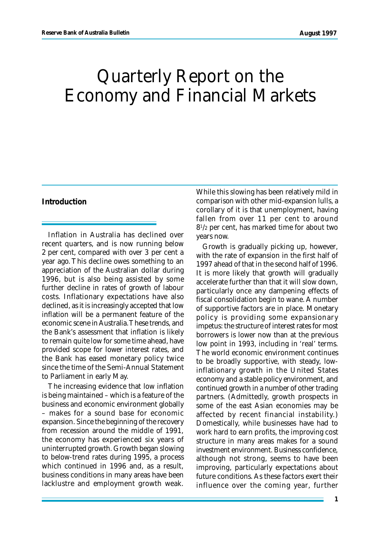# Quarterly Report on the Economy and Financial Markets

## **Introduction**

Inflation in Australia has declined over recent quarters, and is now running below 2 per cent, compared with over 3 per cent a year ago. This decline owes something to an appreciation of the Australian dollar during 1996, but is also being assisted by some further decline in rates of growth of labour costs. Inflationary expectations have also declined, as it is increasingly accepted that low inflation will be a permanent feature of the economic scene in Australia. These trends, and the Bank's assessment that inflation is likely to remain quite low for some time ahead, have provided scope for lower interest rates, and the Bank has eased monetary policy twice since the time of the Semi-Annual Statement to Parliament in early May.

The increasing evidence that low inflation is being maintained – which is a feature of the business and economic environment globally – makes for a sound base for economic expansion. Since the beginning of the recovery from recession around the middle of 1991, the economy has experienced six years of uninterrupted growth. Growth began slowing to below-trend rates during 1995, a process which continued in 1996 and, as a result, business conditions in many areas have been lacklustre and employment growth weak.

While this slowing has been relatively mild in comparison with other mid-expansion lulls, a corollary of it is that unemployment, having fallen from over 11 per cent to around 8 1 /2 per cent, has marked time for about two years now.

Growth is gradually picking up, however, with the rate of expansion in the first half of 1997 ahead of that in the second half of 1996. It is more likely that growth will gradually accelerate further than that it will slow down, particularly once any dampening effects of fiscal consolidation begin to wane. A number of supportive factors are in place. Monetary policy is providing some expansionary impetus: the structure of interest rates for most borrowers is lower now than at the previous low point in 1993, including in 'real' terms. The world economic environment continues to be broadly supportive, with steady, lowinflationary growth in the United States economy and a stable policy environment, and continued growth in a number of other trading partners. (Admittedly, growth prospects in some of the east Asian economies may be affected by recent financial instability.) Domestically, while businesses have had to work hard to earn profits, the improving cost structure in many areas makes for a sound investment environment. Business confidence, although not strong, seems to have been improving, particularly expectations about future conditions. As these factors exert their influence over the coming year, further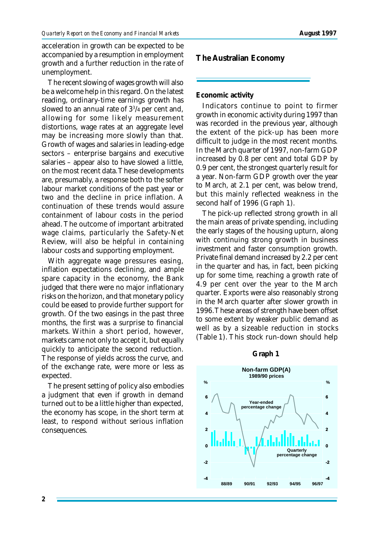acceleration in growth can be expected to be accompanied by a resumption in employment growth and a further reduction in the rate of unemployment.

The recent slowing of wages growth will also be a welcome help in this regard. On the latest reading, ordinary-time earnings growth has slowed to an annual rate of 3<sup>3</sup> /4 per cent and, allowing for some likely measurement distortions, wage rates at an aggregate level may be increasing more slowly than that. Growth of wages and salaries in leading-edge sectors – enterprise bargains and executive salaries – appear also to have slowed a little, on the most recent data. These developments are, presumably, a response both to the softer labour market conditions of the past year or two and the decline in price inflation. A continuation of these trends would assure containment of labour costs in the period ahead. The outcome of important arbitrated wage claims, particularly the Safety-Net Review, will also be helpful in containing labour costs and supporting employment.

With aggregate wage pressures easing, inflation expectations declining, and ample spare capacity in the economy, the Bank judged that there were no major inflationary risks on the horizon, and that monetary policy could be eased to provide further support for growth. Of the two easings in the past three months, the first was a surprise to financial markets. Within a short period, however, markets came not only to accept it, but equally quickly to anticipate the second reduction. The response of yields across the curve, and of the exchange rate, were more or less as expected.

The present setting of policy also embodies a judgment that even if growth in demand turned out to be a little higher than expected, the economy has scope, in the short term at least, to respond without serious inflation consequences.

**The Australian Economy**

**Economic activity**

Indicators continue to point to firmer growth in economic activity during 1997 than was recorded in the previous year, although the extent of the pick-up has been more difficult to judge in the most recent months. In the March quarter of 1997, non-farm GDP increased by 0.8 per cent and total GDP by 0.9 per cent, the strongest quarterly result for a year. Non-farm GDP growth over the year to March, at 2.1 per cent, was below trend, but this mainly reflected weakness in the second half of 1996 (Graph 1).

The pick-up reflected strong growth in all the main areas of private spending, including the early stages of the housing upturn, along with continuing strong growth in business investment and faster consumption growth. Private final demand increased by 2.2 per cent in the quarter and has, in fact, been picking up for some time, reaching a growth rate of 4.9 per cent over the year to the March quarter. Exports were also reasonably strong in the March quarter after slower growth in 1996. These areas of strength have been offset to some extent by weaker public demand as well as by a sizeable reduction in stocks (Table 1). This stock run-down should help

# **Graph 1**

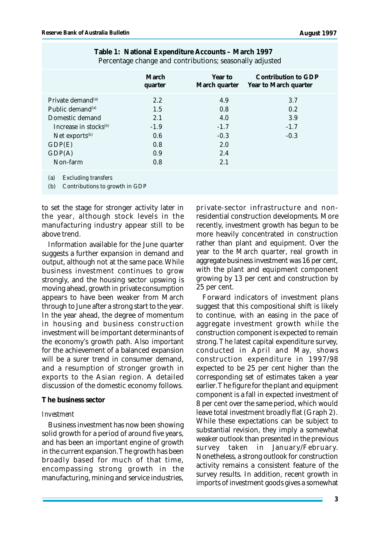|                                                                                                                                                                                     | March<br>quarter                                        | Year to<br>March quarter                                   | Contribution to GDP<br>Year to March quarter |
|-------------------------------------------------------------------------------------------------------------------------------------------------------------------------------------|---------------------------------------------------------|------------------------------------------------------------|----------------------------------------------|
| Private demand <sup>(a)</sup><br>Public demand <sup>(a)</sup><br>Domestic demand<br>Increase in stocks <sup>(b)</sup><br>Net exports <sup>(b)</sup><br>GDP(E)<br>GDP(A)<br>Non-farm | 2.2<br>1.5<br>2.1<br>$-1.9$<br>0.6<br>0.8<br>0.9<br>0.8 | 4.9<br>0.8<br>4.0<br>$-1.7$<br>$-0.3$<br>2.0<br>2.4<br>2.1 | 3.7<br>0.2<br>3.9<br>$-1.7$<br>$-0.3$        |
| <b>Excluding transfers</b><br>(a)                                                                                                                                                   |                                                         |                                                            |                                              |

| Table 1: National Expenditure Accounts - March 1997      |  |
|----------------------------------------------------------|--|
| Percentage change and contributions; seasonally adjusted |  |

(b) Contributions to growth in GDP

to set the stage for stronger activity later in the year, although stock levels in the manufacturing industry appear still to be above trend.

Information available for the June quarter suggests a further expansion in demand and output, although not at the same pace. While business investment continues to grow strongly, and the housing sector upswing is moving ahead, growth in private consumption appears to have been weaker from March through to June after a strong start to the year. In the year ahead, the degree of momentum in housing and business construction investment will be important determinants of the economy's growth path. Also important for the achievement of a balanced expansion will be a surer trend in consumer demand, and a resumption of stronger growth in exports to the Asian region. A detailed discussion of the domestic economy follows.

#### **The business sector**

#### *Investment*

Business investment has now been showing solid growth for a period of around five years, and has been an important engine of growth in the current expansion. The growth has been broadly based for much of that time, encompassing strong growth in the manufacturing, mining and service industries,

private-sector infrastructure and nonresidential construction developments. More recently, investment growth has begun to be more heavily concentrated in construction rather than plant and equipment. Over the year to the March quarter, real growth in aggregate business investment was 16 per cent, with the plant and equipment component growing by 13 per cent and construction by 25 per cent.

Forward indicators of investment plans suggest that this compositional shift is likely to continue, with an easing in the pace of aggregate investment growth while the construction component is expected to remain strong. The latest capital expenditure survey, conducted in April and May, shows construction expenditure in 1997/98 expected to be 25 per cent higher than the corresponding set of estimates taken a year earlier. The figure for the plant and equipment component is a fall in expected investment of 8 per cent over the same period, which would leave total investment broadly flat (Graph 2). While these expectations can be subject to substantial revision, they imply a somewhat weaker outlook than presented in the previous survey taken in January/February. Nonetheless, a strong outlook for construction activity remains a consistent feature of the survey results. In addition, recent growth in imports of investment goods gives a somewhat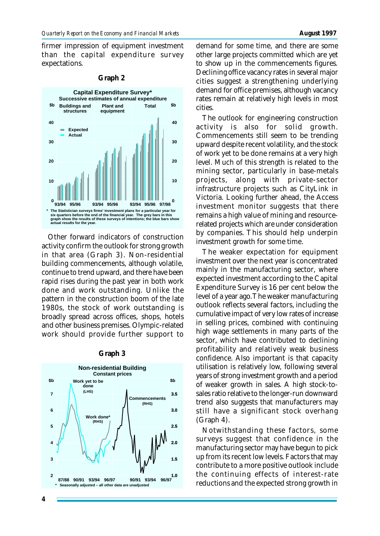firmer impression of equipment investment than the capital expenditure survey expectations.

| Capital Expenditure Survey*<br>Successive estimates of annual expenditure                                                                                                                                                                                           |                                    |                               |                         |     |  |
|---------------------------------------------------------------------------------------------------------------------------------------------------------------------------------------------------------------------------------------------------------------------|------------------------------------|-------------------------------|-------------------------|-----|--|
| \$b                                                                                                                                                                                                                                                                 | <b>Buildings and</b><br>structures | <b>Plant and</b><br>equipment | Total                   | \$b |  |
| 40                                                                                                                                                                                                                                                                  | <b>Expected</b><br>Actual          |                               |                         | 40  |  |
| 30                                                                                                                                                                                                                                                                  |                                    |                               |                         | 30  |  |
| 20                                                                                                                                                                                                                                                                  |                                    |                               |                         | 20  |  |
| 10                                                                                                                                                                                                                                                                  |                                    |                               |                         | 10  |  |
| O                                                                                                                                                                                                                                                                   | 93/94<br>95/96                     | 93/94<br>95/96                | 95/96<br>93/94<br>97/98 | o   |  |
| The Statistician surveys firms' investment plans for a particular year for<br>six quarters before the end of the financial year. The grey bars in this<br>graph show the results of these surveys of intentions; the blue bars show<br>actual results for the year. |                                    |                               |                         |     |  |

#### **Graph 2**

Other forward indicators of construction activity confirm the outlook for strong growth in that area (Graph 3). Non-residential building commencements, although volatile, continue to trend upward, and there have been rapid rises during the past year in both work done and work outstanding. Unlike the pattern in the construction boom of the late 1980s, the stock of work outstanding is broadly spread across offices, shops, hotels and other business premises. Olympic-related work should provide further support to

#### **1.0 96/97 1.5 2.0 2.5 3.0 3.5 Non-residential Building Constant prices \$b 2 3 4 5 6 7 \$b Work done\* (RHS) Work yet to be done (LHS) 93/9490/9196/9793/9490/9187/88 \* Seasonally adjusted – all other data are unadjusted Commencements (RHS)**

#### **Graph 3**

demand for some time, and there are some other large projects committed which are yet to show up in the commencements figures. Declining office vacancy rates in several major cities suggest a strengthening underlying demand for office premises, although vacancy rates remain at relatively high levels in most cities.

The outlook for engineering construction activity is also for solid growth. Commencements still seem to be trending upward despite recent volatility, and the stock of work yet to be done remains at a very high level. Much of this strength is related to the mining sector, particularly in base-metals projects, along with private-sector infrastructure projects such as CityLink in Victoria. Looking further ahead, the Access investment monitor suggests that there remains a high value of mining and resourcerelated projects which are under consideration by companies. This should help underpin investment growth for some time.

The weaker expectation for equipment investment over the next year is concentrated mainly in the manufacturing sector, where expected investment according to the Capital Expenditure Survey is 16 per cent below the level of a year ago. The weaker manufacturing outlook reflects several factors, including the cumulative impact of very low rates of increase in selling prices, combined with continuing high wage settlements in many parts of the sector, which have contributed to declining profitability and relatively weak business confidence. Also important is that capacity utilisation is relatively low, following several years of strong investment growth and a period of weaker growth in sales. A high stock-tosales ratio relative to the longer-run downward trend also suggests that manufacturers may still have a significant stock overhang (Graph 4).

Notwithstanding these factors, some surveys suggest that confidence in the manufacturing sector may have begun to pick up from its recent low levels. Factors that may contribute to a more positive outlook include the continuing effects of interest-rate reductions and the expected strong growth in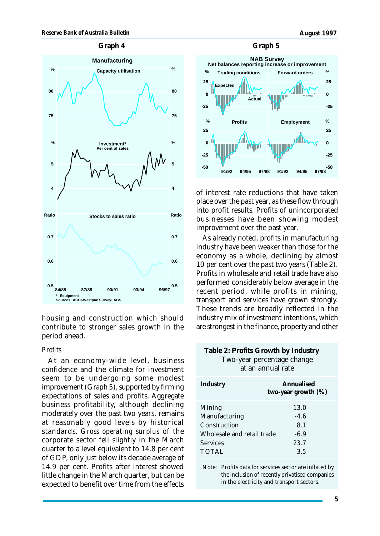



housing and construction which should contribute to stronger sales growth in the period ahead.

## *Profits*

At an economy-wide level, business confidence and the climate for investment seem to be undergoing some modest improvement (Graph 5), supported by firming expectations of sales and profits. Aggregate business profitability, although declining moderately over the past two years, remains at reasonably good levels by historical standards. *Gross operating surplus* of the corporate sector fell slightly in the March quarter to a level equivalent to 14.8 per cent of GDP, only just below its decade average of 14.9 per cent. Profits after interest showed little change in the March quarter, but can be expected to benefit over time from the effects



of interest rate reductions that have taken place over the past year, as these flow through into profit results. Profits of unincorporated businesses have been showing modest improvement over the past year.

As already noted, profits in manufacturing industry have been weaker than those for the economy as a whole, declining by almost 10 per cent over the past two years (Table 2). Profits in wholesale and retail trade have also performed considerably below average in the recent period, while profits in mining, transport and services have grown strongly. These trends are broadly reflected in the industry mix of investment intentions, which are strongest in the finance, property and other

## **Table 2: Profits Growth by Industry** Two-year percentage change at an annual rate

| Industry                   | Annualised<br>two-year growth $(\%)$ |  |
|----------------------------|--------------------------------------|--|
| Mining                     | 13.0                                 |  |
| Manufacturing              | $-4.6$                               |  |
| Construction               | 8.1                                  |  |
| Wholesale and retail trade | $-6.9$                               |  |
| <b>Services</b>            | 23.7                                 |  |
| <b>TOTAL</b>               | 3.5                                  |  |

Note: Profits data for services sector are inflated by the inclusion of recently privatised companies in the electricity and transport sectors.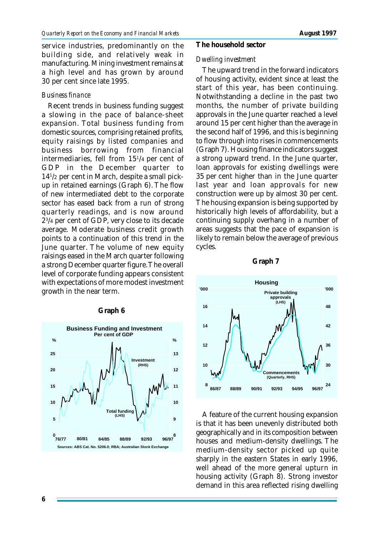service industries, predominantly on the building side, and relatively weak in manufacturing. Mining investment remains at a high level and has grown by around 30 per cent since late 1995.

## *Business finance*

Recent trends in business funding suggest a slowing in the pace of balance-sheet expansion. Total business funding from domestic sources, comprising retained profits, equity raisings by listed companies and business borrowing from financial intermediaries, fell from 15<sup>1</sup> /4 per cent of GDP in the December quarter to 14<sup>1</sup> /2 per cent in March, despite a small pickup in retained earnings (Graph 6). The flow of new intermediated debt to the corporate sector has eased back from a run of strong quarterly readings, and is now around 2 3 /4 per cent of GDP, very close to its decade average. Moderate business credit growth points to a continuation of this trend in the June quarter. The volume of new equity raisings eased in the March quarter following a strong December quarter figure. The overall level of corporate funding appears consistent with expectations of more modest investment growth in the near term.

#### 0<br>76/77 **5 10 15 20 25 8 9 10 11 12 13 Business Funding and Investment Per cent of GDP % % Sources: ABS Cat. No. 5206.0; RBA; Australian Stock Exchange Investment (RHS) Total funding (LHS) 76/77 80/81 96/9792/9388/8984/85**

## **Graph 6**

## **The household sector**

## *Dwelling investment*

The upward trend in the forward indicators of housing activity, evident since at least the start of this year, has been continuing. Notwithstanding a decline in the past two months, the number of private building approvals in the June quarter reached a level around 15 per cent higher than the average in the second half of 1996, and this is beginning to flow through into rises in commencements (Graph 7). Housing finance indicators suggest a strong upward trend. In the June quarter, loan approvals for existing dwellings were 35 per cent higher than in the June quarter last year and loan approvals for new construction were up by almost 30 per cent. The housing expansion is being supported by historically high levels of affordability, but a continuing supply overhang in a number of areas suggests that the pace of expansion is likely to remain below the average of previous cycles.





A feature of the current housing expansion is that it has been unevenly distributed both geographically and in its composition between houses and medium-density dwellings. The medium-density sector picked up quite sharply in the eastern States in early 1996, well ahead of the more general upturn in housing activity (Graph 8). Strong investor demand in this area reflected rising dwelling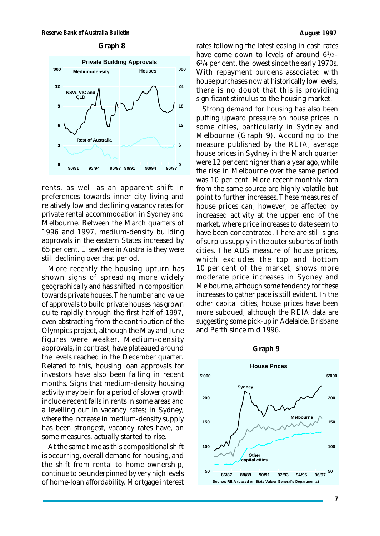#### **Graph 8**



rents, as well as an apparent shift in preferences towards inner city living and relatively low and declining vacancy rates for private rental accommodation in Sydney and Melbourne. Between the March quarters of 1996 and 1997, medium-density building approvals in the eastern States increased by 65 per cent. Elsewhere in Australia they were still declining over that period.

More recently the housing upturn has shown signs of spreading more widely geographically and has shifted in composition towards private houses. The number and value of approvals to build private houses has grown quite rapidly through the first half of 1997, even abstracting from the contribution of the Olympics project, although the May and June figures were weaker. Medium-density approvals, in contrast, have plateaued around the levels reached in the December quarter. Related to this, housing loan approvals for investors have also been falling in recent months. Signs that medium-density housing activity may be in for a period of slower growth include recent falls in rents in some areas and a levelling out in vacancy rates; in Sydney, where the increase in medium-density supply has been strongest, vacancy rates have, on some measures, actually started to rise.

At the same time as this compositional shift is occurring, overall demand for housing, and the shift from rental to home ownership, continue to be underpinned by very high levels of home-loan affordability. Mortgage interest rates following the latest easing in cash rates have come down to levels of around 6<sup>1</sup> /2– 6 3 /4 per cent, the lowest since the early 1970s. With repayment burdens associated with house purchases now at historically low levels, there is no doubt that this is providing significant stimulus to the housing market.

Strong demand for housing has also been putting upward pressure on house prices in some cities, particularly in Sydney and Melbourne (Graph 9). According to the measure published by the REIA, average house prices in Sydney in the March quarter were 12 per cent higher than a year ago, while the rise in Melbourne over the same period was 10 per cent. More recent monthly data from the same source are highly volatile but point to further increases. These measures of house prices can, however, be affected by increased activity at the upper end of the market, where price increases to date seem to have been concentrated. There are still signs of surplus supply in the outer suburbs of both cities. The ABS measure of house prices, which excludes the top and bottom 10 per cent of the market, shows more moderate price increases in Sydney and Melbourne, although some tendency for these increases to gather pace is still evident. In the other capital cities, house prices have been more subdued, although the REIA data are suggesting some pick-up in Adelaide, Brisbane and Perth since mid 1996.

#### **Graph 9**

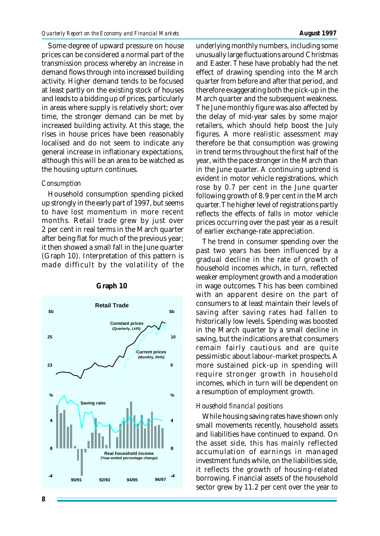Some degree of upward pressure on house prices can be considered a normal part of the transmission process whereby an increase in demand flows through into increased building activity. Higher demand tends to be focused at least partly on the existing stock of houses and leads to a bidding up of prices, particularly in areas where supply is relatively short; over time, the stronger demand can be met by increased building activity. At this stage, the rises in house prices have been reasonably localised and do not seem to indicate any general increase in inflationary expectations, although this will be an area to be watched as the housing upturn continues.

## *Consumption*

Household consumption spending picked up strongly in the early part of 1997, but seems to have lost momentum in more recent months. Retail trade grew by just over 2 per cent in real terms in the March quarter after being flat for much of the previous year; it then showed a small fall in the June quarter (Graph 10). Interpretation of this pattern is made difficult by the volatility of the





underlying monthly numbers, including some unusually large fluctuations around Christmas and Easter. These have probably had the net effect of drawing spending into the March quarter from before and after that period, and therefore exaggerating both the pick-up in the March quarter and the subsequent weakness. The June monthly figure was also affected by the delay of mid-year sales by some major retailers, which should help boost the July figures. A more realistic assessment may therefore be that consumption was growing in trend terms throughout the first half of the year, with the pace stronger in the March than in the June quarter. A continuing uptrend is evident in motor vehicle registrations, which rose by 0.7 per cent in the June quarter following growth of 8.9 per cent in the March quarter. The higher level of registrations partly reflects the effects of falls in motor vehicle prices occurring over the past year as a result of earlier exchange-rate appreciation.

The trend in consumer spending over the past two years has been influenced by a gradual decline in the rate of growth of household incomes which, in turn, reflected weaker employment growth and a moderation in wage outcomes. This has been combined with an apparent desire on the part of consumers to at least maintain their levels of saving after saving rates had fallen to historically low levels. Spending was boosted in the March quarter by a small decline in saving, but the indications are that consumers remain fairly cautious and are quite pessimistic about labour-market prospects. A more sustained pick-up in spending will require stronger growth in household incomes, which in turn will be dependent on a resumption of employment growth.

## *Household financial positions*

While housing saving rates have shown only small movements recently, household assets and liabilities have continued to expand. On the asset side, this has mainly reflected accumulation of earnings in managed investment funds while, on the liabilities side, it reflects the growth of housing-related borrowing. Financial assets of the household sector grew by 11.2 per cent over the year to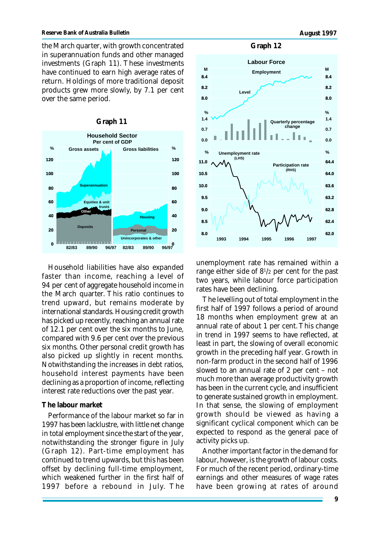the March quarter, with growth concentrated in superannuation funds and other managed investments (Graph 11). These investments have continued to earn high average rates of return. Holdings of more traditional deposit products grew more slowly, by 7.1 per cent over the same period.



Household liabilities have also expanded faster than income, reaching a level of 94 per cent of aggregate household income in the March quarter. This ratio continues to trend upward, but remains moderate by international standards. Housing credit growth has picked up recently, reaching an annual rate of 12.1 per cent over the six months to June, compared with 9.6 per cent over the previous six months. Other personal credit growth has also picked up slightly in recent months. Notwithstanding the increases in debt ratios, household interest payments have been declining as a proportion of income, reflecting interest rate reductions over the past year.

### **The labour market**

Performance of the labour market so far in 1997 has been lacklustre, with little net change in total employment since the start of the year, notwithstanding the stronger figure in July (Graph 12). Part-time employment has continued to trend upwards, but this has been offset by declining full-time employment, which weakened further in the first half of 1997 before a rebound in July. The





unemployment rate has remained within a range either side of 8<sup>1</sup> /2 per cent for the past two years, while labour force participation rates have been declining.

The levelling out of total employment in the first half of 1997 follows a period of around 18 months when employment grew at an annual rate of about 1 per cent. This change in trend in 1997 seems to have reflected, at least in part, the slowing of overall economic growth in the preceding half year. Growth in non-farm product in the second half of 1996 slowed to an annual rate of 2 per cent – not much more than average productivity growth has been in the current cycle, and insufficient to generate sustained growth in employment. In that sense, the slowing of employment growth should be viewed as having a significant cyclical component which can be expected to respond as the general pace of activity picks up.

Another important factor in the demand for labour, however, is the growth of labour costs. For much of the recent period, ordinary-time earnings and other measures of wage rates have been growing at rates of around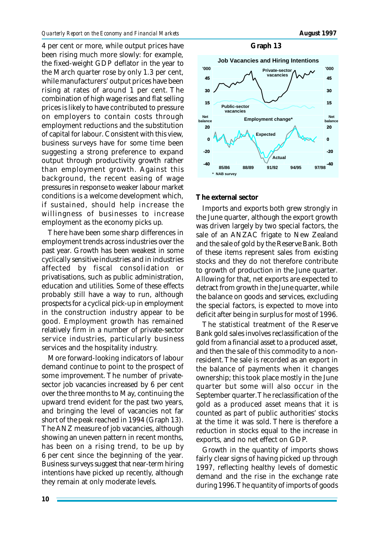4 per cent or more, while output prices have been rising much more slowly: for example, the fixed-weight GDP deflator in the year to the March quarter rose by only 1.3 per cent, while manufacturers' output prices have been rising at rates of around 1 per cent. The combination of high wage rises and flat selling prices is likely to have contributed to pressure on employers to contain costs through employment reductions and the substitution of capital for labour. Consistent with this view, business surveys have for some time been suggesting a strong preference to expand output through productivity growth rather than employment growth. Against this background, the recent easing of wage pressures in response to weaker labour market conditions is a welcome development which, if sustained, should help increase the willingness of businesses to increase employment as the economy picks up.

There have been some sharp differences in employment trends across industries over the past year. Growth has been weakest in some cyclically sensitive industries and in industries affected by fiscal consolidation or privatisations, such as public administration, education and utilities. Some of these effects probably still have a way to run, although prospects for a cyclical pick-up in employment in the construction industry appear to be good. Employment growth has remained relatively firm in a number of private-sector service industries, particularly business services and the hospitality industry.

More forward-looking indicators of labour demand continue to point to the prospect of some improvement. The number of privatesector job vacancies increased by 6 per cent over the three months to May, continuing the upward trend evident for the past two years, and bringing the level of vacancies not far short of the peak reached in 1994 (Graph 13). The ANZ measure of job vacancies, although showing an uneven pattern in recent months, has been on a rising trend, to be up by 6 per cent since the beginning of the year. Business surveys suggest that near-term hiring intentions have picked up recently, although they remain at only moderate levels.

#### **Graph 13**



#### **The external sector**

Imports and exports both grew strongly in the June quarter, although the export growth was driven largely by two special factors, the sale of an ANZAC frigate to New Zealand and the sale of gold by the Reserve Bank. Both of these items represent sales from existing stocks and they do not therefore contribute to growth of production in the June quarter. Allowing for that, net exports are expected to detract from growth in the June quarter, while the balance on goods and services, excluding the special factors, is expected to move into deficit after being in surplus for most of 1996.

The statistical treatment of the Reserve Bank gold sales involves reclassification of the gold from a financial asset to a produced asset, and then the sale of this commodity to a nonresident. The sale is recorded as an export in the balance of payments when it changes ownership; this took place mostly in the June quarter but some will also occur in the September quarter. The reclassification of the gold as a produced asset means that it is counted as part of public authorities' stocks at the time it was sold. There is therefore a reduction in stocks equal to the increase in exports, and no net effect on GDP.

Growth in the quantity of imports shows fairly clear signs of having picked up through 1997, reflecting healthy levels of domestic demand and the rise in the exchange rate during 1996. The quantity of imports of goods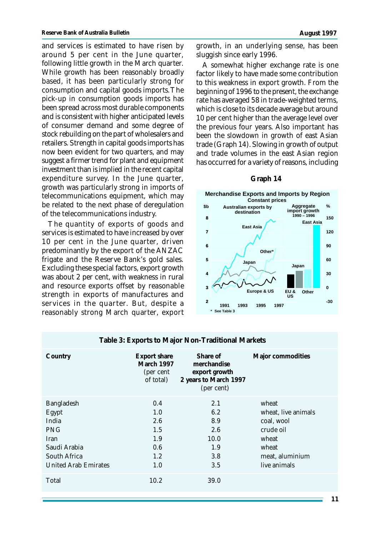and services is estimated to have risen by around 5 per cent in the June quarter, following little growth in the March quarter. While growth has been reasonably broadly based, it has been particularly strong for consumption and capital goods imports. The pick-up in consumption goods imports has been spread across most durable components and is consistent with higher anticipated levels of consumer demand and some degree of stock rebuilding on the part of wholesalers and retailers. Strength in capital goods imports has now been evident for two quarters, and may suggest a firmer trend for plant and equipment investment than is implied in the recent capital expenditure survey. In the June quarter,

growth was particularly strong in imports of telecommunications equipment, which may be related to the next phase of deregulation of the telecommunications industry.

The quantity of exports of goods and services is estimated to have increased by over 10 per cent in the June quarter, driven predominantly by the export of the ANZAC frigate and the Reserve Bank's gold sales. Excluding these special factors, export growth was about 2 per cent, with weakness in rural and resource exports offset by reasonable strength in exports of manufactures and services in the quarter. But, despite a reasonably strong March quarter, export growth, in an underlying sense, has been sluggish since early 1996.

A somewhat higher exchange rate is one factor likely to have made some contribution to this weakness in export growth. From the beginning of 1996 to the present, the exchange rate has averaged 58 in trade-weighted terms, which is close to its decade average but around 10 per cent higher than the average level over the previous four years. Also important has been the slowdown in growth of east Asian trade (Graph 14). Slowing in growth of output and trade volumes in the east Asian region has occurred for a variety of reasons, including

## **Graph 14**



| Table 3: Exports to Major Non-Traditional Markets                                                                        |                                                              |                                                                                 |                                                                                                              |  |  |
|--------------------------------------------------------------------------------------------------------------------------|--------------------------------------------------------------|---------------------------------------------------------------------------------|--------------------------------------------------------------------------------------------------------------|--|--|
| Country                                                                                                                  | <b>Export share</b><br>March 1997<br>(per cent)<br>of total) | Share of<br>merchandise<br>export growth<br>2 years to March 1997<br>(per cent) | Major commodities                                                                                            |  |  |
| Bangladesh<br>Egypt<br>India<br><b>PNG</b><br><b>Iran</b><br>Saudi Arabia<br>South Africa<br><b>United Arab Emirates</b> | 0.4<br>1.0<br>2.6<br>1.5<br>1.9<br>0.6<br>1.2<br>1.0         | 2.1<br>6.2<br>8.9<br>2.6<br>10.0<br>1.9<br>3.8<br>3.5                           | wheat<br>wheat, live animals<br>coal, wool<br>crude oil<br>wheat<br>wheat<br>meat, aluminium<br>live animals |  |  |
| Total                                                                                                                    | 10.2                                                         | 39.0                                                                            |                                                                                                              |  |  |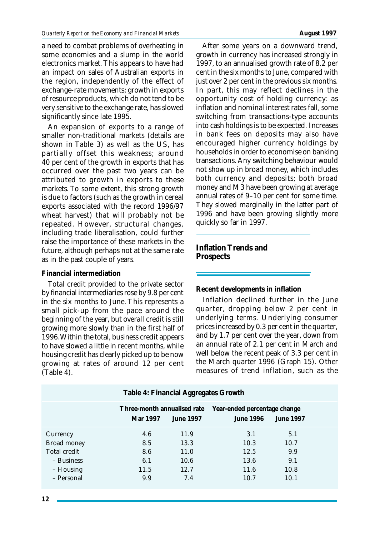a need to combat problems of overheating in some economies and a slump in the world electronics market. This appears to have had an impact on sales of Australian exports in the region, independently of the effect of exchange-rate movements; growth in exports of resource products, which do not tend to be very sensitive to the exchange rate, has slowed significantly since late 1995.

An expansion of exports to a range of smaller non-traditional markets (details are shown in Table 3) as well as the US, has partially offset this weakness; around 40 per cent of the growth in exports that has occurred over the past two years can be attributed to growth in exports to these markets. To some extent, this strong growth is due to factors (such as the growth in cereal exports associated with the record 1996/97 wheat harvest) that will probably not be repeated. However, structural changes, including trade liberalisation, could further raise the importance of these markets in the future, although perhaps not at the same rate as in the past couple of years.

## **Financial intermediation**

Total credit provided to the private sector by financial intermediaries rose by 9.8 per cent in the six months to June. This represents a small pick-up from the pace around the beginning of the year, but overall credit is still growing more slowly than in the first half of 1996. Within the total, business credit appears to have slowed a little in recent months, while housing credit has clearly picked up to be now growing at rates of around 12 per cent (Table 4).

After some years on a downward trend, growth in currency has increased strongly in 1997, to an annualised growth rate of 8.2 per cent in the six months to June, compared with just over 2 per cent in the previous six months. In part, this may reflect declines in the opportunity cost of holding currency: as inflation and nominal interest rates fall, some switching from transactions-type accounts into cash holdings is to be expected. Increases in bank fees on deposits may also have encouraged higher currency holdings by households in order to economise on banking transactions. Any switching behaviour would not show up in broad money, which includes both currency and deposits; both broad money and M3 have been growing at average annual rates of 9–10 per cent for some time. They slowed marginally in the latter part of 1996 and have been growing slightly more quickly so far in 1997.

**Inflation Trends and Prospects**

**Recent developments in inflation**

Inflation declined further in the June quarter, dropping below 2 per cent in underlying terms. Underlying consumer prices increased by 0.3 per cent in the quarter, and by 1.7 per cent over the year, down from an annual rate of 2.1 per cent in March and well below the recent peak of 3.3 per cent in the March quarter 1996 (Graph 15). Other measures of trend inflation, such as the

|                                                                                  | Table 4: Financial Aggregates Growth           |                                             |                                                  |                                           |
|----------------------------------------------------------------------------------|------------------------------------------------|---------------------------------------------|--------------------------------------------------|-------------------------------------------|
|                                                                                  | Three-month annualised rate<br><b>Mar 1997</b> | <b>June 1997</b>                            | Year-ended percentage change<br><b>June 1996</b> | <b>June 1997</b>                          |
| Currency<br>Broad money<br>Total credit<br>- Business<br>– Housing<br>- Personal | 4.6<br>8.5<br>8.6<br>6.1<br>11.5<br>9.9        | 11.9<br>13.3<br>11.0<br>10.6<br>12.7<br>7.4 | 3.1<br>10.3<br>12.5<br>13.6<br>11.6<br>10.7      | 5.1<br>10.7<br>9.9<br>9.1<br>10.8<br>10.1 |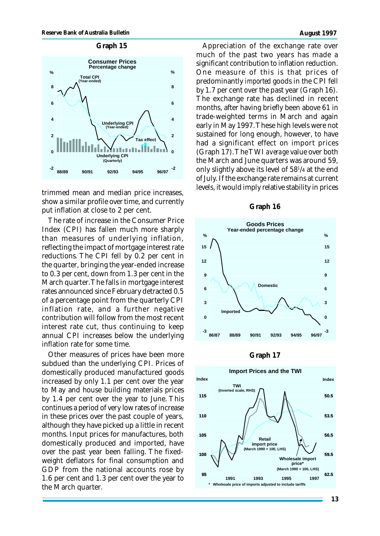

trimmed mean and median price increases, show a similar profile over time, and currently put inflation at close to 2 per cent.

The rate of increase in the Consumer Price Index (CPI) has fallen much more sharply than measures of underlying inflation, reflecting the impact of mortgage interest rate reductions. The CPI fell by 0.2 per cent in the quarter, bringing the year-ended increase to 0.3 per cent, down from 1.3 per cent in the March quarter. The falls in mortgage interest rates announced since February detracted 0.5 of a percentage point from the quarterly CPI inflation rate, and a further negative contribution will follow from the most recent interest rate cut, thus continuing to keep annual CPI increases below the underlying inflation rate for some time.

Other measures of prices have been more subdued than the underlying CPI. Prices of domestically produced manufactured goods increased by only 1.1 per cent over the year to May and house building materials prices by 1.4 per cent over the year to June. This continues a period of very low rates of increase in these prices over the past couple of years, although they have picked up a little in recent months. Input prices for manufactures, both domestically produced and imported, have over the past year been falling. The fixedweight deflators for final consumption and GDP from the national accounts rose by 1.6 per cent and 1.3 per cent over the year to the March quarter.

Appreciation of the exchange rate over much of the past two years has made a significant contribution to inflation reduction. One measure of this is that prices of predominantly *imported* goods in the CPI fell by 1.7 per cent over the past year (Graph 16). The exchange rate has declined in recent months, after having briefly been above 61 in trade-weighted terms in March and again early in May 1997. These high levels were not sustained for long enough, however, to have had a significant effect on import prices (Graph 17). The TWI *average* value over both the March and June quarters was around 59, only slightly above its level of 58<sup>1</sup> /4 at the end of July. If the exchange rate remains at current levels, it would imply relative stability in prices

#### **Graph 16**





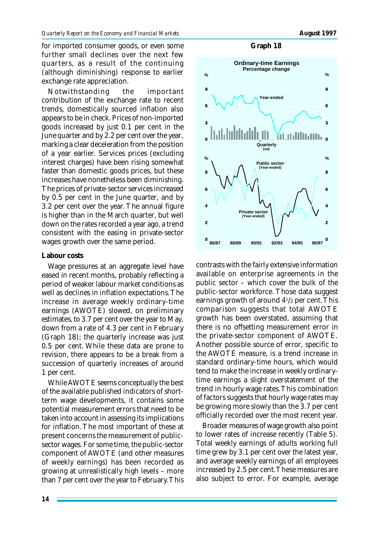for imported consumer goods, or even some further small declines over the next few quarters, as a result of the continuing (although diminishing) response to earlier exchange rate appreciation.

Notwithstanding the important contribution of the exchange rate to recent trends, domestically sourced inflation also appears to be in check. Prices of non-imported goods increased by just 0.1 per cent in the June quarter and by 2.2 per cent over the year, marking a clear deceleration from the position of a year earlier. Services prices (excluding interest charges) have been rising somewhat faster than domestic goods prices, but these increases have nonetheless been diminishing. The prices of private-sector services increased by 0.5 per cent in the June quarter, and by 3.2 per cent over the year. The annual figure is higher than in the March quarter, but well down on the rates recorded a year ago, a trend consistent with the easing in private-sector wages growth over the same period.

## **Labour costs**

Wage pressures at an aggregate level have eased in recent months, probably reflecting a period of weaker labour market conditions as well as declines in inflation expectations. The increase in average weekly ordinary-time earnings (AWOTE) slowed, on preliminary estimates, to 3.7 per cent over the year to May, down from a rate of 4.3 per cent in February (Graph 18); the quarterly increase was just 0.5 per cent. While these data are prone to revision, there appears to be a break from a succession of quarterly increases of around 1 per cent.

While AWOTE seems conceptually the best of the available published indicators of shortterm wage developments, it contains some potential measurement errors that need to be taken into account in assessing its implications for inflation. The most important of these at present concerns the measurement of publicsector wages. For some time, the public-sector component of AWOTE (and other measures of weekly earnings) has been recorded as growing at unrealistically high levels – more than 7 per cent over the year to February. This

contrasts with the fairly extensive information available on enterprise agreements in the public sector – which cover the bulk of the public-sector workforce. Those data suggest earnings growth of around 4<sup>1</sup> /2 per cent. This comparison suggests that total AWOTE growth has been overstated, assuming that there is no offsetting measurement error in the private-sector component of AWOTE. Another possible source of error, specific to the AWOTE measure, is a trend increase in standard ordinary-time hours, which would tend to make the increase in weekly ordinarytime earnings a slight overstatement of the trend in hourly wage rates. This combination of factors suggests that hourly wage rates may be growing more slowly than the 3.7 per cent officially recorded over the most recent year.

Broader measures of wage growth also point to lower rates of increase recently (Table 5). Total weekly earnings of adults working full time grew by 3.1 per cent over the latest year, and average weekly earnings of all employees increased by 2.5 per cent. These measures are also subject to error. For example, average

#### **Graph 18**

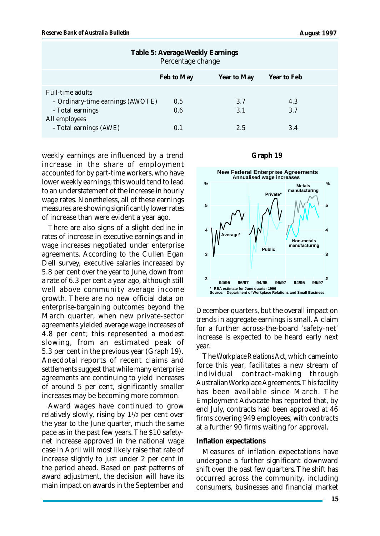| Table 5: Average Weekly Earnings<br>Percentage change                                                                      |                   |                   |                   |  |
|----------------------------------------------------------------------------------------------------------------------------|-------------------|-------------------|-------------------|--|
|                                                                                                                            | Feb to May        | Year to May       | Year to Feb       |  |
| <b>Full-time adults</b><br>- Ordinary-time earnings (AWOTE)<br>- Total earnings<br>All employees<br>- Total earnings (AWE) | 0.5<br>0.6<br>0.1 | 3.7<br>3.1<br>2.5 | 4.3<br>3.7<br>3.4 |  |

weekly earnings are influenced by a trend increase in the share of employment accounted for by part-time workers, who have lower weekly earnings; this would tend to lead to an understatement of the increase in hourly wage rates. Nonetheless, all of these earnings measures are showing significantly lower rates of increase than were evident a year ago.

There are also signs of a slight decline in rates of increase in executive earnings and in wage increases negotiated under enterprise agreements. According to the Cullen Egan Dell survey, executive salaries increased by 5.8 per cent over the year to June, down from a rate of 6.3 per cent a year ago, although still well above community average income growth. There are no new official data on enterprise-bargaining outcomes beyond the March quarter, when new private-sector agreements yielded average wage increases of 4.8 per cent; this represented a modest slowing, from an estimated peak of 5.3 per cent in the previous year (Graph 19). Anecdotal reports of recent claims and settlements suggest that while many enterprise agreements are continuing to yield increases of around 5 per cent, significantly smaller increases may be becoming more common.

Award wages have continued to grow relatively slowly, rising by  $1\frac{1}{2}$  per cent over the year to the June quarter, much the same pace as in the past few years. The \$10 safetynet increase approved in the national wage case in April will most likely raise that rate of increase slightly to just under 2 per cent in the period ahead. Based on past patterns of award adjustment, the decision will have its main impact on awards in the September and

#### **Graph 19**



December quarters, but the overall impact on trends in aggregate earnings is small. A claim for a further across-the-board 'safety-net' increase is expected to be heard early next year.

The *Workplace Relations Act*, which came into force this year, facilitates a new stream of individual contract-making through Australian Workplace Agreements. This facility has been available since March. The Employment Advocate has reported that, by end July, contracts had been approved at 46 firms covering 949 employees, with contracts at a further 90 firms waiting for approval.

#### **Inflation expectations**

Measures of inflation expectations have undergone a further significant downward shift over the past few quarters. The shift has occurred across the community, including consumers, businesses and financial market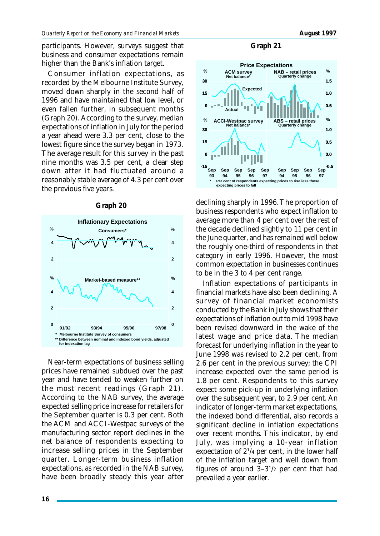participants. However, surveys suggest that business and consumer expectations remain higher than the Bank's inflation target.

Consumer inflation expectations, as recorded by the Melbourne Institute Survey, moved down sharply in the second half of 1996 and have maintained that low level, or even fallen further, in subsequent months (Graph 20). According to the survey, median expectations of inflation in July for the period a year ahead were 3.3 per cent, close to the lowest figure since the survey began in 1973. The average result for this survey in the past nine months was 3.5 per cent, a clear step down after it had fluctuated around a reasonably stable average of 4.3 per cent over the previous five years.



Near-term expectations of business selling prices have remained subdued over the past year and have tended to weaken further on the most recent readings (Graph 21). According to the NAB survey, the average expected selling price increase for retailers for

the September quarter is 0.3 per cent. Both the ACM and ACCI-Westpac surveys of the manufacturing sector report declines in the net balance of respondents expecting to increase selling prices in the September quarter. Longer-term business inflation expectations, as recorded in the NAB survey, have been broadly steady this year after

## **Graph 20**

#### **Graph 21**



declining sharply in 1996. The proportion of business respondents who expect inflation to average more than 4 per cent over the rest of the decade declined slightly to 11 per cent in the June quarter, and has remained well below the roughly one-third of respondents in that category in early 1996. However, the most common expectation in businesses continues to be in the 3 to 4 per cent range.

Inflation expectations of participants in financial markets have also been declining. A survey of financial market economists conducted by the Bank in July shows that their expectations of inflation out to mid 1998 have been revised downward in the wake of the latest wage and price data. The median forecast for underlying inflation in the year to June 1998 was revised to 2.2 per cent, from 2.6 per cent in the previous survey; the CPI increase expected over the same period is 1.8 per cent. Respondents to this survey expect some pick-up in underlying inflation over the subsequent year, to 2.9 per cent. An indicator of longer-term market expectations, the indexed bond differential, also records a significant decline in inflation expectations over recent months. This indicator, by end July, was implying a 10-year inflation expectation of 2<sup>1</sup>/4 per cent, in the lower half of the inflation target and well down from figures of around 3–3<sup>1</sup> /2 per cent that had prevailed a year earlier.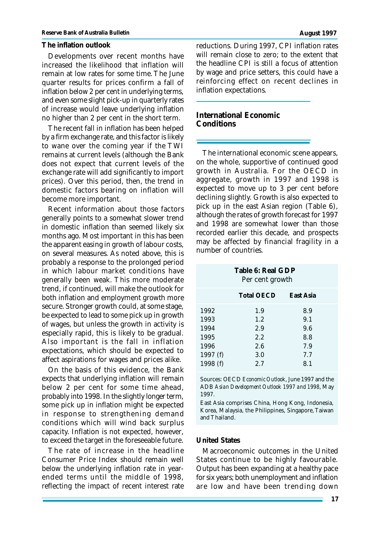#### **The inflation outlook**

Developments over recent months have increased the likelihood that inflation will remain at low rates for some time. The June quarter results for prices confirm a fall of inflation below 2 per cent in underlying terms, and even some slight pick-up in quarterly rates of increase would leave underlying inflation no higher than 2 per cent in the short term.

The recent fall in inflation has been helped by a firm exchange rate, and this factor is likely to wane over the coming year if the TWI remains at current levels (although the Bank does not expect that current levels of the exchange rate will add significantly to import prices). Over this period, then, the trend in domestic factors bearing on inflation will become more important.

Recent information about those factors generally points to a somewhat slower trend in domestic inflation than seemed likely six months ago. Most important in this has been the apparent easing in growth of labour costs, on several measures. As noted above, this is probably a response to the prolonged period in which labour market conditions have generally been weak. This more moderate trend, if continued, will make the outlook for both inflation and employment growth more secure. Stronger growth could, at some stage, be expected to lead to some pick up in growth of wages, but unless the growth in activity is especially rapid, this is likely to be gradual. Also important is the fall in inflation expectations, which should be expected to affect aspirations for wages and prices alike.

On the basis of this evidence, the Bank expects that underlying inflation will remain below 2 per cent for some time ahead, probably into 1998. In the slightly longer term, some pick up in inflation might be expected in response to strengthening demand conditions which will wind back surplus capacity. Inflation is not expected, however, to exceed the target in the foreseeable future.

The rate of increase in the headline Consumer Price Index should remain well below the underlying inflation rate in yearended terms until the middle of 1998, reflecting the impact of recent interest rate reductions. During 1997, CPI inflation rates will remain close to zero; to the extent that the headline CPI is still a focus of attention by wage and price setters, this could have a reinforcing effect on recent declines in inflation expectations.

## **International Economic Conditions**

The international economic scene appears, on the whole, supportive of continued good growth in Australia. For the OECD in aggregate, growth in 1997 and 1998 is expected to move up to 3 per cent before declining slightly. Growth is also expected to pick up in the east Asian region (Table 6), although the rates of growth forecast for 1997 and 1998 are somewhat lower than those recorded earlier this decade, and prospects may be affected by financial fragility in a number of countries.

**Table 6: Real GDP** Per cent growth

|          | <b>Total OECD</b> | East Asia |
|----------|-------------------|-----------|
| 1992     | 1.9               | 8.9       |
| 1993     | $1.2\,$           | 9.1       |
| 1994     | 2.9               | 9.6       |
| 1995     | 2.2               | 8.8       |
| 1996     | 2.6               | 7.9       |
| 1997 (f) | 3.0               | 7.7       |
| 1998 (f) | 2.7               | 8.1       |

Sources: OECD *Economic Outlook*, June 1997 and the ADB *Asian Development Outlook 1997 and 1998*, May 1997.

East Asia comprises China, Hong Kong, Indonesia, Korea, Malaysia, the Philippines, Singapore, Taiwan and Thailand.

### **United States**

Macroeconomic outcomes in the United States continue to be highly favourable. Output has been expanding at a healthy pace for six years; both unemployment and inflation are low and have been trending down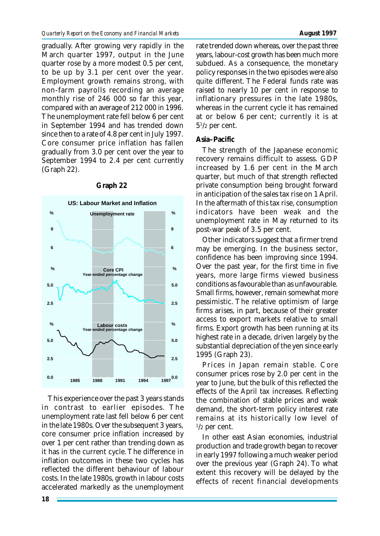gradually. After growing very rapidly in the March quarter 1997, output in the June quarter rose by a more modest 0.5 per cent, to be up by 3.1 per cent over the year. Employment growth remains strong, with non-farm payrolls recording an average monthly rise of 246 000 so far this year, compared with an average of 212 000 in 1996. The unemployment rate fell below 6 per cent in September 1994 and has trended down since then to a rate of 4.8 per cent in July 1997. Core consumer price inflation has fallen gradually from 3.0 per cent over the year to September 1994 to 2.4 per cent currently (Graph 22).



#### **Graph 22**

This experience over the past 3 years stands in contrast to earlier episodes. The unemployment rate last fell below 6 per cent in the late 1980s. Over the subsequent 3 years, core consumer price inflation increased by over 1 per cent rather than trending down as it has in the current cycle. The difference in inflation outcomes in these two cycles has reflected the different behaviour of labour costs. In the late 1980s, growth in labour costs accelerated markedly as the unemployment rate trended down whereas, over the past three years, labour-cost growth has been much more subdued. As a consequence, the monetary policy responses in the two episodes were also quite different. The Federal funds rate was raised to nearly 10 per cent in response to inflationary pressures in the late 1980s, whereas in the current cycle it has remained at or below 6 per cent; currently it is at  $5^{1/2}$  per cent.

## **Asia–Pacific**

The strength of the Japanese economic recovery remains difficult to assess. GDP increased by 1.6 per cent in the March quarter, but much of that strength reflected private consumption being brought forward in anticipation of the sales tax rise on 1 April. In the aftermath of this tax rise, consumption indicators have been weak and the unemployment rate in May returned to its post-war peak of 3.5 per cent.

Other indicators suggest that a firmer trend may be emerging. In the business sector, confidence has been improving since 1994. Over the past year, for the first time in five years, more large firms viewed business conditions as favourable than as unfavourable. Small firms, however, remain somewhat more pessimistic. The relative optimism of large firms arises, in part, because of their greater access to export markets relative to small firms. Export growth has been running at its highest rate in a decade, driven largely by the substantial depreciation of the yen since early 1995 (Graph 23).

Prices in Japan remain stable. Core consumer prices rose by 2.0 per cent in the year to June, but the bulk of this reflected the effects of the April tax increases. Reflecting the combination of stable prices and weak demand, the short-term policy interest rate remains at its historically low level of  $\frac{1}{2}$  per cent.

In other east Asian economies, industrial production and trade growth began to recover in early 1997 following a much weaker period over the previous year (Graph 24). To what extent this recovery will be delayed by the effects of recent financial developments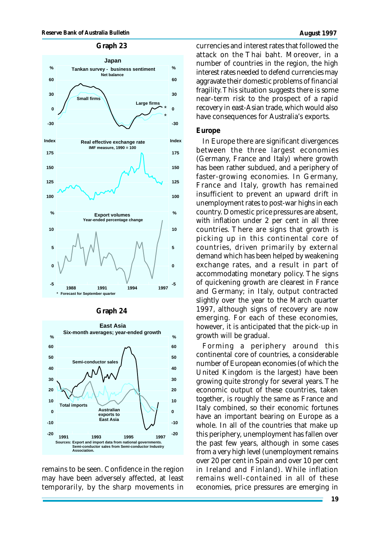## **Graph 23**



| rrann |  |  |
|-------|--|--|
|-------|--|--|



remains to be seen. Confidence in the region may have been adversely affected, at least temporarily, by the sharp movements in

currencies and interest rates that followed the attack on the Thai baht. Moreover, in a number of countries in the region, the high interest rates needed to defend currencies may aggravate their domestic problems of financial fragility. This situation suggests there is some near-term risk to the prospect of a rapid recovery in east-Asian trade, which would also have consequences for Australia's exports.

#### **Europe**

In Europe there are significant divergences between the three largest economies (Germany, France and Italy) where growth has been rather subdued, and a periphery of faster-growing economies. In Germany, France and Italy, growth has remained insufficient to prevent an upward drift in unemployment rates to post-war highs in each country. Domestic price pressures are absent, with inflation under 2 per cent in all three countries. There are signs that growth is picking up in this continental core of countries, driven primarily by external demand which has been helped by weakening exchange rates, and a result in part of accommodating monetary policy. The signs of quickening growth are clearest in France and Germany; in Italy, output contracted slightly over the year to the March quarter 1997, although signs of recovery are now emerging. For each of these economies, however, it is anticipated that the pick-up in growth will be gradual.

Forming a periphery around this continental core of countries, a considerable number of European economies (of which the United Kingdom is the largest) have been growing quite strongly for several years. The economic output of these countries, taken together, is roughly the same as France and Italy combined, so their economic fortunes have an important bearing on Europe as a whole. In all of the countries that make up this periphery, unemployment has fallen over the past few years, although in some cases from a very high level (unemployment remains over 20 per cent in Spain and over 10 per cent in Ireland and Finland). While inflation remains well-contained in all of these economies, price pressures are emerging in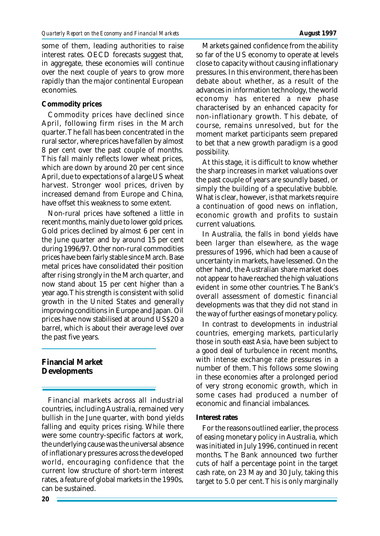some of them, leading authorities to raise interest rates. OECD forecasts suggest that, in aggregate, these economies will continue over the next couple of years to grow more rapidly than the major continental European economies.

## **Commodity prices**

Commodity prices have declined since April, following firm rises in the March quarter. The fall has been concentrated in the rural sector, where prices have fallen by almost 8 per cent over the past couple of months. This fall mainly reflects lower wheat prices, which are down by around 20 per cent since April, due to expectations of a large US wheat harvest. Stronger wool prices, driven by increased demand from Europe and China, have offset this weakness to some extent.

Non-rural prices have softened a little in recent months, mainly due to lower gold prices. Gold prices declined by almost 6 per cent in the June quarter and by around 15 per cent during 1996/97. Other non-rural commodities prices have been fairly stable since March. Base metal prices have consolidated their position after rising strongly in the March quarter, and now stand about 15 per cent higher than a year ago. This strength is consistent with solid growth in the United States and generally improving conditions in Europe and Japan. Oil prices have now stabilised at around US\$20 a barrel, which is about their average level over the past five years.

# **Financial Market Developments**

Financial markets across all industrial countries, including Australia, remained very bullish in the June quarter, with bond yields falling and equity prices rising. While there were some country-specific factors at work, the underlying cause was the universal absence of inflationary pressures across the developed world, encouraging confidence that the current low structure of short-term interest rates, a feature of global markets in the 1990s, can be sustained.

Markets gained confidence from the ability so far of the US economy to operate at levels close to capacity without causing inflationary pressures. In this environment, there has been debate about whether, as a result of the advances in information technology, the world economy has entered a new phase characterised by an enhanced capacity for non-inflationary growth. This debate, of course, remains unresolved, but for the moment market participants seem prepared to bet that a new growth paradigm is a good possibility.

At this stage, it is difficult to know whether the sharp increases in market valuations over the past couple of years are soundly based, or simply the building of a speculative bubble. What is clear, however, is that markets require a continuation of good news on inflation, economic growth and profits to sustain current valuations.

In Australia, the falls in bond yields have been larger than elsewhere, as the wage pressures of 1996, which had been a cause of uncertainty in markets, have lessened. On the other hand, the Australian share market does not appear to have reached the high valuations evident in some other countries. The Bank's overall assessment of domestic financial developments was that they did not stand in the way of further easings of monetary policy.

In contrast to developments in industrial countries, emerging markets, particularly those in south east Asia, have been subject to a good deal of turbulence in recent months, with intense exchange rate pressures in a number of them. This follows some slowing in these economies after a prolonged period of very strong economic growth, which in some cases had produced a number of economic and financial imbalances.

## **Interest rates**

For the reasons outlined earlier, the process of easing monetary policy in Australia, which was initiated in July 1996, continued in recent months. The Bank announced two further cuts of half a percentage point in the target cash rate, on 23 May and 30 July, taking this target to 5.0 per cent. This is only marginally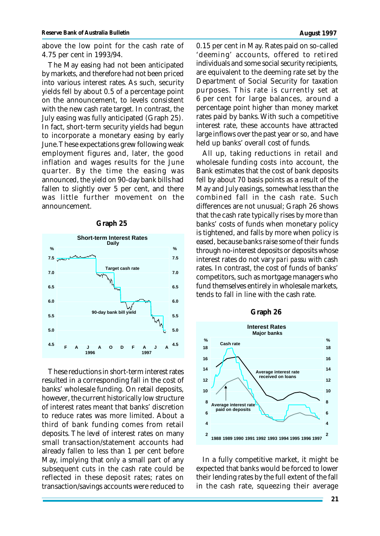above the low point for the cash rate of 4.75 per cent in 1993/94.

The May easing had not been anticipated by markets, and therefore had not been priced into various interest rates. As such, security yields fell by about 0.5 of a percentage point on the announcement, to levels consistent with the new cash rate target. In contrast, the July easing was fully anticipated (Graph 25). In fact, short-term security yields had begun to incorporate a monetary easing by early June. These expectations grew following weak employment figures and, later, the good inflation and wages results for the June quarter. By the time the easing was announced, the yield on 90-day bank bills had fallen to slightly over 5 per cent, and there was little further movement on the announcement.



**Graph 25**

These reductions in short-term interest rates resulted in a corresponding fall in the cost of banks' wholesale funding. On retail deposits, however, the current historically low structure of interest rates meant that banks' discretion to reduce rates was more limited. About a third of bank funding comes from retail deposits. The *level* of interest rates on many small transaction/statement accounts had already fallen to less than 1 per cent before May, implying that only a small part of any subsequent cuts in the cash rate could be reflected in these deposit rates; rates on transaction/savings accounts were reduced to

0.15 per cent in May. Rates paid on so-called 'deeming' accounts, offered to retired individuals and some social security recipients, are equivalent to the deeming rate set by the Department of Social Security for taxation purposes. This rate is currently set at 6 per cent for large balances, around a percentage point higher than money market rates paid by banks. With such a competitive interest rate, these accounts have attracted large inflows over the past year or so, and have held up banks' overall cost of funds.

All up, taking reductions in retail and wholesale funding costs into account, the Bank estimates that the cost of bank deposits fell by about 70 basis points as a result of the May and July easings, somewhat less than the combined fall in the cash rate. Such differences are not unusual; Graph 26 shows that the cash rate typically rises by more than banks' costs of funds when monetary policy is tightened, and falls by more when policy is eased, because banks raise some of their funds through no-interest deposits or deposits whose interest rates do not vary *pari passu* with cash rates. In contrast, the cost of funds of banks' competitors, such as mortgage managers who fund themselves entirely in wholesale markets, tends to fall in line with the cash rate.



In a fully competitive market, it might be expected that banks would be forced to lower their lending rates by the full extent of the fall in the cash rate, squeezing their average

#### **21**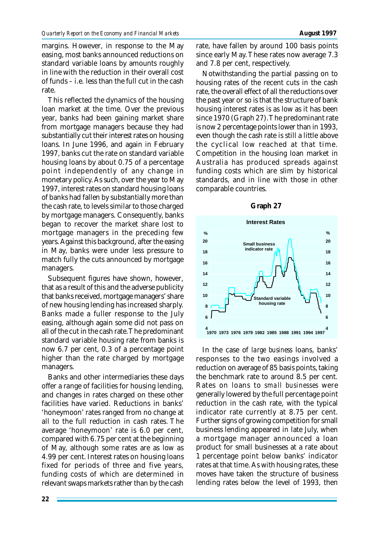margins. However, in response to the May easing, most banks announced reductions on standard variable loans by amounts roughly in line with the reduction in their overall cost of funds – i.e. less than the full cut in the cash rate.

This reflected the dynamics of the housing loan market at the time. Over the previous year, banks had been gaining market share from mortgage managers because they had substantially cut their interest rates on housing loans. In June 1996, and again in February 1997, banks cut the rate on standard variable housing loans by about 0.75 of a percentage point independently of any change in monetary policy. As such, over the year to May 1997, interest rates on standard housing loans of banks had fallen by substantially more than the cash rate, to levels similar to those charged by mortgage managers. Consequently, banks began to recover the market share lost to mortgage managers in the preceding few years. Against this background, after the easing in May, banks were under less pressure to match fully the cuts announced by mortgage managers.

Subsequent figures have shown, however, that as a result of this and the adverse publicity that banks received, mortgage managers' share of new housing lending has increased sharply. Banks made a fuller response to the July easing, although again some did not pass on all of the cut in the cash rate. The predominant standard variable housing rate from banks is now 6.7 per cent, 0.3 of a percentage point higher than the rate charged by mortgage managers.

Banks and other intermediaries these days offer a range of facilities for housing lending, and changes in rates charged on these other facilities have varied. Reductions in banks' 'honeymoon' rates ranged from no change at all to the full reduction in cash rates. The average 'honeymoon' rate is 6.0 per cent, compared with 6.75 per cent at the beginning of May, although some rates are as low as 4.99 per cent. Interest rates on housing loans fixed for periods of three and five years, funding costs of which are determined in relevant swaps markets rather than by the cash

rate, have fallen by around 100 basis points since early May. These rates now average 7.3 and 7.8 per cent, respectively.

Notwithstanding the partial passing on to housing rates of the recent cuts in the cash rate, the overall effect of all the reductions over the past year or so is that the structure of bank housing interest rates is as low as it has been since 1970 (Graph 27). The predominant rate is now 2 percentage points lower than in 1993, even though the cash rate is still a little above the cyclical low reached at that time. Competition in the housing loan market in Australia has produced spreads against funding costs which are slim by historical standards, and in line with those in other comparable countries.



In the case of *large business* loans, banks' responses to the two easings involved a reduction on average of 85 basis points, taking the benchmark rate to around 8.5 per cent. Rates on loans to *small businesses* were generally lowered by the full percentage point reduction in the cash rate, with the typical indicator rate currently at 8.75 per cent. Further signs of growing competition for small business lending appeared in late July, when a mortgage manager announced a loan product for small businesses at a rate about 1 percentage point below banks' indicator rates at that time. As with housing rates, these moves have taken the structure of business lending rates below the level of 1993, then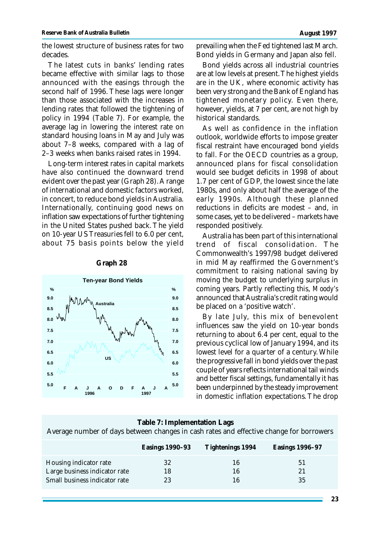the lowest structure of business rates for two decades.

The latest cuts in banks' lending rates became effective with similar lags to those announced with the easings through the second half of 1996. These lags were longer than those associated with the increases in lending rates that followed the tightening of policy in 1994 (Table 7). For example, the average lag in lowering the interest rate on standard housing loans in May and July was about 7–8 weeks, compared with a lag of 2–3 weeks when banks raised rates in 1994.

Long-term interest rates in capital markets have also continued the downward trend evident over the past year (Graph 28). A range of international and domestic factors worked, in concert, to reduce bond yields in Australia. Internationally, continuing good news on inflation saw expectations of further tightening in the United States pushed back. The yield on 10-year US Treasuries fell to 6.0 per cent, about 75 basis points below the yield



#### **Graph 28**

prevailing when the Fed tightened last March. Bond yields in Germany and Japan also fell.

Bond yields across all industrial countries are at low levels at present. The highest yields are in the UK, where economic activity has been very strong and the Bank of England has tightened monetary policy. Even there, however, yields, at 7 per cent, are not high by historical standards.

As well as confidence in the inflation outlook, worldwide efforts to impose greater fiscal restraint have encouraged bond yields to fall. For the OECD countries as a group, announced plans for fiscal consolidation would see budget deficits in 1998 of about 1.7 per cent of GDP, the lowest since the late 1980s, and only about half the average of the early 1990s. Although these planned reductions in deficits are modest – and, in some cases, yet to be delivered – markets have responded positively.

Australia has been part of this international trend of fiscal consolidation. The Commonwealth's 1997/98 budget delivered in mid May reaffirmed the Government's commitment to raising national saving by moving the budget to underlying surplus in coming years. Partly reflecting this, *Moody's* announced that Australia's credit rating would be placed on a 'positive watch'.

By late July, this mix of benevolent influences saw the yield on 10-year bonds returning to about 6.4 per cent, equal to the previous cyclical low of January 1994, and its lowest level for a quarter of a century. While the progressive fall in bond yields over the past couple of years reflects international tail winds and better fiscal settings, fundamentally it has been underpinned by the steady improvement in domestic inflation expectations. The drop

| Table 7: Implementation Lags                                                            |                 |                  |                 |  |  |
|-----------------------------------------------------------------------------------------|-----------------|------------------|-----------------|--|--|
| Average number of days between changes in cash rates and effective change for borrowers |                 |                  |                 |  |  |
|                                                                                         | Easings 1990–93 | Tightenings 1994 | Easings 1996-97 |  |  |
| Housing indicator rate                                                                  | 32              | 16               | 51              |  |  |
| Large business indicator rate                                                           | 18              | 16               | 21              |  |  |
| Small business indicator rate                                                           | 23              | 16               | 35              |  |  |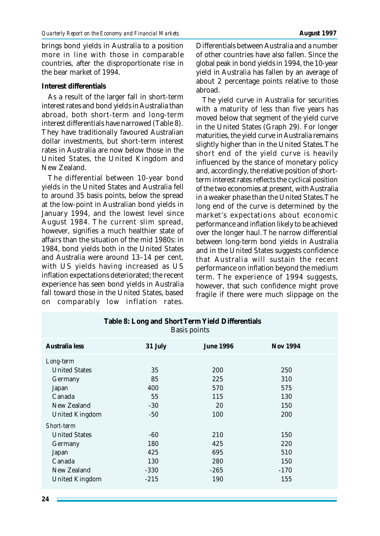brings bond yields in Australia to a position more in line with those in comparable countries, after the disproportionate rise in the bear market of 1994.

## **Interest differentials**

As a result of the larger fall in short-term interest rates and bond yields in Australia than abroad, both short-term and long-term interest differentials have narrowed (Table 8). They have traditionally favoured Australian dollar investments, but short-term interest rates in Australia are now below those in the United States, the United Kingdom and New Zealand.

The differential between 10-year bond yields in the United States and Australia fell to around 35 basis points, below the spread at the low-point in Australian bond yields in January 1994, and the lowest level since August 1984. The current slim spread, however, signifies a much healthier state of affairs than the situation of the mid 1980s: in 1984, bond yields both in the United States and Australia were around 13–14 per cent, with US yields having increased as US inflation expectations deteriorated; the recent experience has seen bond yields in Australia fall toward those in the United States, based on comparably low inflation rates.

Differentials between Australia and a number of other countries have also fallen. Since the global peak in bond yields in 1994, the 10-year yield in Australia has fallen by an average of about 2 percentage points relative to those abroad.

The yield curve in Australia for securities with a maturity of less than five years has moved below that segment of the yield curve in the United States (Graph 29). For longer maturities, the yield curve in Australia remains slightly higher than in the United States. The short end of the yield curve is heavily influenced by the stance of monetary policy and, accordingly, the relative position of shortterm interest rates reflects the cyclical position of the two economies at present, with Australia in a weaker phase than the United States. The long end of the curve is determined by the market's expectations about economic performance and inflation likely to be achieved over the longer haul. The narrow differential between long-term bond yields in Australia and in the United States suggests confidence that Australia will sustain the recent performance on inflation beyond the medium term. The experience of 1994 suggests, however, that such confidence might prove fragile if there were much slippage on the

| <b>Basis points</b>   |         |                  |          |  |  |
|-----------------------|---------|------------------|----------|--|--|
| Australia less        | 31 July | <b>June 1996</b> | Nov 1994 |  |  |
| Long-term             |         |                  |          |  |  |
| <b>United States</b>  | 35      | <b>200</b>       | 250      |  |  |
| Germany               | 85      | 225              | 310      |  |  |
| Japan                 | 400     | 570              | 575      |  |  |
| Canada                | 55      | 115              | 130      |  |  |
| New Zealand           | $-30$   | 20               | 150      |  |  |
| <b>United Kingdom</b> | $-50$   | 100              | 200      |  |  |
| <b>Short-term</b>     |         |                  |          |  |  |
| <b>United States</b>  | -60     | 210              | 150      |  |  |
| Germany               | 180     | 425              | 220      |  |  |
| Japan                 | 425     | 695              | 510      |  |  |
| Canada                | 130     | 280              | 150      |  |  |
| New Zealand           | $-330$  | $-265$           | $-170$   |  |  |
| <b>United Kingdom</b> | $-215$  | 190              | 155      |  |  |

**Table 8: Long and Short Term Yield Differentials** Basis points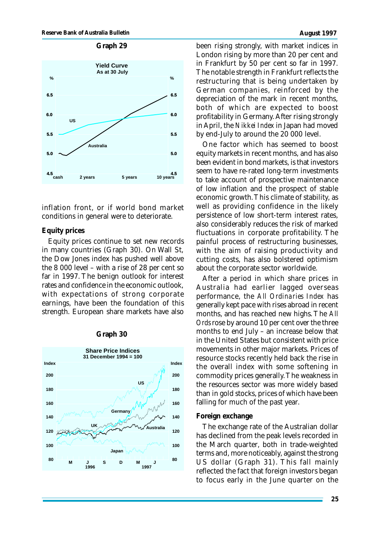

inflation front, or if world bond market conditions in general were to deteriorate.

## **Equity prices**

Equity prices continue to set new records in many countries (Graph 30). On Wall St, the Dow Jones index has pushed well above the 8 000 level – with a rise of 28 per cent so far in 1997. The benign outlook for interest rates and confidence in the economic outlook, with expectations of strong corporate earnings, have been the foundation of this strength. European share markets have also



### **Graph 30**

been rising strongly, with market indices in London rising by more than 20 per cent and in Frankfurt by 50 per cent so far in 1997. The notable strength in Frankfurt reflects the restructuring that is being undertaken by German companies, reinforced by the depreciation of the mark in recent months, both of which are expected to boost profitability in Germany. After rising strongly in April, the *Nikkei Index* in Japan had moved by end-July to around the 20 000 level.

One factor which has seemed to boost equity markets in recent months, and has also been evident in bond markets, is that investors seem to have re-rated long-term investments to take account of prospective maintenance of low inflation and the prospect of stable economic growth. This climate of stability, as well as providing confidence in the likely persistence of low short-term interest rates, also considerably reduces the risk of marked fluctuations in corporate profitability. The painful process of restructuring businesses, with the aim of raising productivity and cutting costs, has also bolstered optimism about the corporate sector worldwide.

After a period in which share prices in Australia had earlier lagged overseas performance, the *All Ordinaries Index* has generally kept pace with rises abroad in recent months, and has reached new highs. The *All Ords* rose by around 10 per cent over the three months to end July – an increase below that in the United States but consistent with price movements in other major markets. Prices of resource stocks recently held back the rise in the overall index with some softening in commodity prices generally. The weakness in the resources sector was more widely based than in gold stocks, prices of which have been falling for much of the past year.

## **Foreign exchange**

The exchange rate of the Australian dollar has declined from the peak levels recorded in the March quarter, both in trade-weighted terms and, more noticeably, against the strong US dollar (Graph 31). This fall mainly reflected the fact that foreign investors began to focus early in the June quarter on the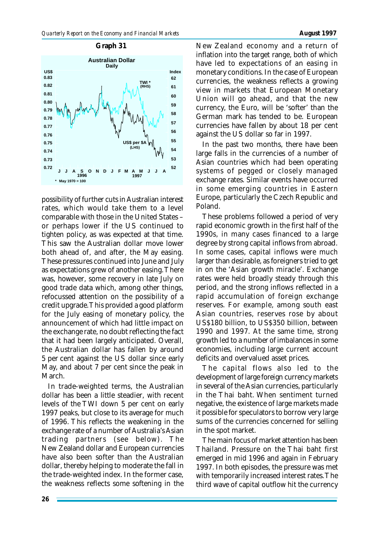



possibility of further cuts in Australian interest rates, which would take them to a level comparable with those in the United States – or perhaps lower if the US continued to tighten policy, as was expected at that time. This saw the Australian dollar move lower both ahead of, and after, the May easing. These pressures continued into June and July as expectations grew of another easing. There was, however, some recovery in late July on good trade data which, among other things, refocussed attention on the possibility of a credit upgrade. This provided a good platform for the July easing of monetary policy, the announcement of which had little impact on the exchange rate, no doubt reflecting the fact that it had been largely anticipated. Overall, the Australian dollar has fallen by around 5 per cent against the US dollar since early May, and about 7 per cent since the peak in March.

In trade-weighted terms, the Australian dollar has been a little steadier, with recent levels of the TWI down 5 per cent on early 1997 peaks, but close to its average for much of 1996. This reflects the weakening in the exchange rate of a number of Australia's Asian trading partners (see below). The New Zealand dollar and European currencies have also been softer than the Australian dollar, thereby helping to moderate the fall in the trade-weighted index. In the former case, the weakness reflects some softening in the

New Zealand economy and a return of inflation into the target range, both of which have led to expectations of an easing in monetary conditions. In the case of European currencies, the weakness reflects a growing view in markets that European Monetary Union will go ahead, and that the new currency, the Euro, will be 'softer' than the German mark has tended to be. European currencies have fallen by about 18 per cent against the US dollar so far in 1997.

In the past two months, there have been large falls in the currencies of a number of Asian countries which had been operating systems of pegged or closely managed exchange rates. Similar events have occurred in some emerging countries in Eastern Europe, particularly the Czech Republic and Poland.

These problems followed a period of very rapid economic growth in the first half of the 1990s, in many cases financed to a large degree by strong capital inflows from abroad. In some cases, capital inflows were much larger than desirable, as foreigners tried to get in on the 'Asian growth miracle'. Exchange rates were held broadly steady through this period, and the strong inflows reflected in a rapid accumulation of foreign exchange reserves. For example, among south east Asian countries, reserves rose by about US\$180 billion, to US\$350 billion, between 1990 and 1997. At the same time, strong growth led to a number of imbalances in some economies, including large current account deficits and overvalued asset prices.

The capital flows also led to the development of large foreign currency markets in several of the Asian currencies, particularly in the Thai baht. When sentiment turned negative, the existence of large markets made it possible for speculators to borrow very large sums of the currencies concerned for selling in the spot market.

The main focus of market attention has been Thailand. Pressure on the Thai baht first emerged in mid 1996 and again in February 1997. In both episodes, the pressure was met with temporarily increased interest rates. The third wave of capital outflow hit the currency